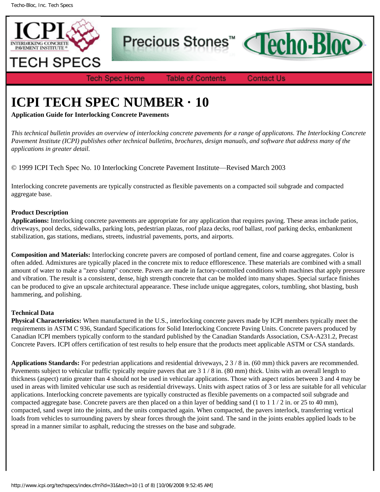

Precious Stones<sup>™</sup>



**Tech Spec Home** 

**Table of Contents** 

**Contact Us** 

# **ICPI TECH SPEC NUMBER · 10**

**Application Guide for Interlocking Concrete Pavements**

*This technical bulletin provides an overview of interlocking concrete pavements for a range of applicatons. The Interlocking Concrete Pavement Institute (ICPI) publishes other technical bulletins, brochures, design manuals, and software that address many of the applications in greater detail.*

© 1999 ICPI Tech Spec No. 10 Interlocking Concrete Pavement Institute—Revised March 2003

Interlocking concrete pavements are typically constructed as flexible pavements on a compacted soil subgrade and compacted aggregate base.

# **Product Description**

**Applications:** Interlocking concrete pavements are appropriate for any application that requires paving. These areas include patios, driveways, pool decks, sidewalks, parking lots, pedestrian plazas, roof plaza decks, roof ballast, roof parking decks, embankment stabilization, gas stations, medians, streets, industrial pavements, ports, and airports.

**Composition and Materials:** Interlocking concrete pavers are composed of portland cement, fine and coarse aggregates. Color is often added. Admixtures are typically placed in the concrete mix to reduce efflorescence. These materials are combined with a small amount of water to make a "zero slump" concrete. Pavers are made in factory-controlled conditions with machines that apply pressure and vibration. The result is a consistent, dense, high strength concrete that can be molded into many shapes. Special surface finishes can be produced to give an upscale architectural appearance. These include unique aggregates, colors, tumbling, shot blasting, bush hammering, and polishing.

# **Technical Data**

**Physical Characteristics:** When manufactured in the U.S., interlocking concrete pavers made by ICPI members typically meet the requirements in ASTM C 936, Standard Specifications for Solid Interlocking Concrete Paving Units. Concrete pavers produced by Canadian ICPI members typically conform to the standard published by the Canadian Standards Association, CSA-A231.2, Precast Concrete Pavers. ICPI offers certification of test results to help ensure that the products meet applicable ASTM or CSA standards.

**Applications Standards:** For pedestrian applications and residential driveways, 2 3 / 8 in. (60 mm) thick pavers are recommended. Pavements subject to vehicular traffic typically require pavers that are 3 1 / 8 in. (80 mm) thick. Units with an overall length to thickness (aspect) ratio greater than 4 should not be used in vehicular applications. Those with aspect ratios between 3 and 4 may be used in areas with limited vehicular use such as residential driveways. Units with aspect ratios of 3 or less are suitable for all vehicular applications. Interlocking concrete pavements are typically constructed as flexible pavements on a compacted soil subgrade and compacted aggregate base. Concrete pavers are then placed on a thin layer of bedding sand (1 to 1 1 / 2 in. or 25 to 40 mm), compacted, sand swept into the joints, and the units compacted again. When compacted, the pavers interlock, transferring vertical loads from vehicles to surrounding pavers by shear forces through the joint sand. The sand in the joints enables applied loads to be spread in a manner similar to asphalt, reducing the stresses on the base and subgrade.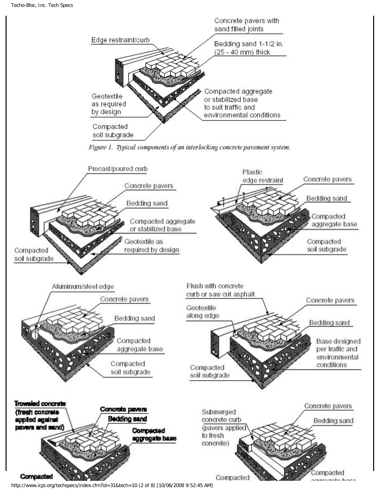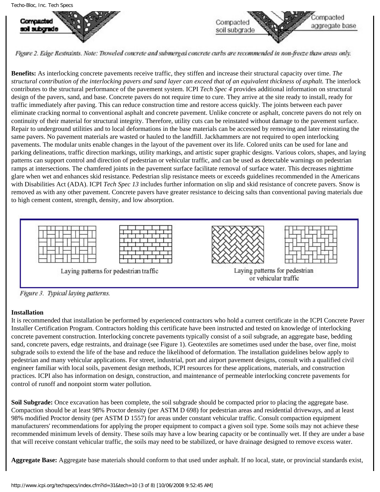Compacted

ao i auborado



Figure 2. Edge Restraints. Note: Troweled concrete and submerged concrete curbs are recommended in non-freeze thaw areas only.

**Benefits:** As interlocking concrete pavements receive traffic, they stiffen and increase their structural capacity over time. *The structural contribution of the interlocking pavers and sand layer can exceed that of an equivalent thickness of asphalt.* The interlock contributes to the structural performance of the pavement system. ICPI *Tech Spec 4* provides additional information on structural design of the pavers, sand, and base. Concrete pavers do not require time to cure. They arrive at the site ready to install, ready for traffic immediately after paving. This can reduce construction time and restore access quickly. The joints between each paver eliminate cracking normal to conventional asphalt and concrete pavement. Unlike concrete or asphalt, concrete pavers do not rely on continuity of their material for structural integrity. Therefore, utility cuts can be reinstated without damage to the pavement surface. Repair to underground utilities and to local deformations in the base materials can be accessed by removing and later reinstating the same pavers. No pavement materials are wasted or hauled to the landfill. Jackhammers are not required to open interlocking pavements. The modular units enable changes in the layout of the pavement over its life. Colored units can be used for lane and parking delineations, traffic direction markings, utility markings, and artistic super graphic designs. Various colors, shapes, and laying patterns can support control and direction of pedestrian or vehicular traffic, and can be used as detectable warnings on pedestrian ramps at intersections. The chamfered joints in the pavement surface facilitate removal of surface water. This decreases nighttime glare when wet and enhances skid resistance. Pedestrian slip resistance meets or exceeds guidelines recommended in the Americans with Disabilities Act (ADA). ICPI *Tech Spec 13* includes further information on slip and skid resistance of concrete pavers. Snow is removed as with any other pavement. Concrete pavers have greater resistance to deicing salts than conventional paving materials due to high cement content, strength, density, and low absorption.



Figure 3. Typical laying patterns.

## **Installation**

It is recommended that installation be performed by experienced contractors who hold a current certificate in the ICPI Concrete Paver Installer Certification Program. Contractors holding this certificate have been instructed and tested on knowledge of interlocking concrete pavement construction. Interlocking concrete pavements typically consist of a soil subgrade, an aggregate base, bedding sand, concrete pavers, edge restraints, and drainage (see Figure 1). Geotextiles are sometimes used under the base, over fine, moist subgrade soils to extend the life of the base and reduce the likelihood of deformation. The installation guidelines below apply to pedestrian and many vehicular applications. For street, industrial, port and airport pavement designs, consult with a qualified civil engineer familiar with local soils, pavement design methods, ICPI resources for these applications, materials, and construction practices. ICPI also has information on design, construction, and maintenance of permeable interlocking concrete pavements for control of runoff and nonpoint storm water pollution.

**Soil Subgrade:** Once excavation has been complete, the soil subgrade should be compacted prior to placing the aggregate base. Compaction should be at least 98% Proctor density (per ASTM D 698) for pedestrian areas and residential driveways, and at least 98% modified Proctor density (per ASTM D 1557) for areas under constant vehicular traffic. Consult compaction equipment manufacturers' recommendations for applying the proper equipment to compact a given soil type. Some soils may not achieve these recommended minimum levels of density. These soils may have a low bearing capacity or be continually wet. If they are under a base that will receive constant vehicular traffic, the soils may need to be stabilized, or have drainage designed to remove excess water.

**Aggregate Base:** Aggregate base materials should conform to that used under asphalt. If no local, state, or provincial standards exist,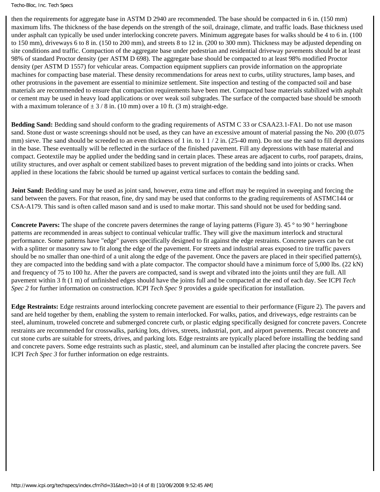Techo-Bloc, Inc. Tech Specs

then the requirements for aggregate base in ASTM D 2940 are recommended. The base should be compacted in 6 in. (150 mm) maximum lifts. The thickness of the base depends on the strength of the soil, drainage, climate, and traffic loads. Base thickness used under asphalt can typically be used under interlocking concrete pavers. Minimum aggregate bases for walks should be 4 to 6 in. (100 to 150 mm), driveways 6 to 8 in. (150 to 200 mm), and streets 8 to 12 in. (200 to 300 mm). Thickness may be adjusted depending on site conditions and traffic. Compaction of the aggregate base under pedestrian and residential driveway pavements should be at least 98% of standard Proctor density (per ASTM D 698). The aggregate base should be compacted to at least 98% modified Proctor density (per ASTM D 1557) for vehicular areas. Compaction equipment suppliers can provide information on the appropriate machines for compacting base material. These density recommendations for areas next to curbs, utility structures, lamp bases, and other protrusions in the pavement are essential to minimize settlement. Site inspection and testing of the compacted soil and base materials are recommended to ensure that compaction requirements have been met. Compacted base materials stabilized with asphalt or cement may be used in heavy load applications or over weak soil subgrades. The surface of the compacted base should be smooth with a maximum tolerance of  $\pm$  3 / 8 in. (10 mm) over a 10 ft. (3 m) straight-edge.

**Bedding Sand:** Bedding sand should conform to the grading requirements of ASTM C 33 or CSAA23.1-FA1. Do not use mason sand. Stone dust or waste screenings should not be used, as they can have an excessive amount of material passing the No. 200 (0.075) mm) sieve. The sand should be screeded to an even thickness of 1 in. to  $1/2$  in. (25-40 mm). Do not use the sand to fill depressions in the base. These eventually will be reflected in the surface of the finished pavement. Fill any depressions with base material and compact. Geotextile may be applied under the bedding sand in certain places. These areas are adjacent to curbs, roof parapets, drains, utility structures, and over asphalt or cement stabilized bases to prevent migration of the bedding sand into joints or cracks. When applied in these locations the fabric should be turned up against vertical surfaces to contain the bedding sand.

**Joint Sand:** Bedding sand may be used as joint sand, however, extra time and effort may be required in sweeping and forcing the sand between the pavers. For that reason, fine, dry sand may be used that conforms to the grading requirements of ASTMC144 or CSA-A179. This sand is often called mason sand and is used to make mortar. This sand should not be used for bedding sand.

**Concrete Pavers:** The shape of the concrete pavers determines the range of laying patterns (Figure 3). 45 ° to 90 ° herringbone patterns are recommended in areas subject to continual vehicular traffic. They will give the maximum interlock and structural performance. Some patterns have "edge" pavers specifically designed to fit against the edge restraints. Concrete pavers can be cut with a splitter or masonry saw to fit along the edge of the pavement. For streets and industrial areas exposed to tire traffic pavers should be no smaller than one-third of a unit along the edge of the pavement. Once the pavers are placed in their specified pattern(s), they are compacted into the bedding sand with a plate compactor. The compactor should have a minimum force of 5,000 lbs. (22 kN) and frequency of 75 to 100 hz. After the pavers are compacted, sand is swept and vibrated into the joints until they are full. All pavement within 3 ft (1 m) of unfinished edges should have the joints full and be compacted at the end of each day. See ICPI *Tech Spec 2* for further information on construction. ICPI *Tech Spec 9* provides a guide specification for installation.

**Edge Restraints:** Edge restraints around interlocking concrete pavement are essential to their performance (Figure 2). The pavers and sand are held together by them, enabling the system to remain interlocked. For walks, patios, and driveways, edge restraints can be steel, aluminum, troweled concrete and submerged concrete curb, or plastic edging specifically designed for concrete pavers. Concrete restraints are recommended for crosswalks, parking lots, drives, streets, industrial, port, and airport pavements. Precast concrete and cut stone curbs are suitable for streets, drives, and parking lots. Edge restraints are typically placed before installing the bedding sand and concrete pavers. Some edge restraints such as plastic, steel, and aluminum can be installed after placing the concrete pavers. See ICPI *Tech Spec 3* for further information on edge restraints.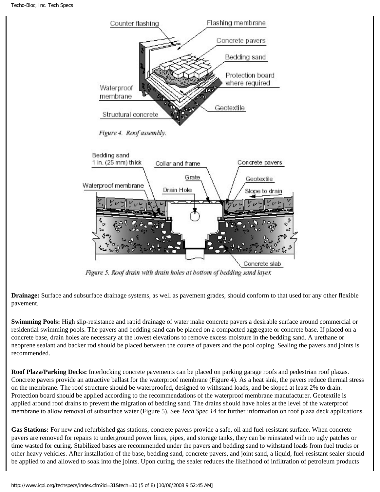

Figure 5. Roof drain with drain holes at bottom of bedding sand layer.

**Drainage:** Surface and subsurface drainage systems, as well as pavement grades, should conform to that used for any other flexible pavement.

**Swimming Pools:** High slip-resistance and rapid drainage of water make concrete pavers a desirable surface around commercial or residential swimming pools. The pavers and bedding sand can be placed on a compacted aggregate or concrete base. If placed on a concrete base, drain holes are necessary at the lowest elevations to remove excess moisture in the bedding sand. A urethane or neoprene sealant and backer rod should be placed between the course of pavers and the pool coping. Sealing the pavers and joints is recommended.

**Roof Plaza/Parking Decks:** Interlocking concrete pavements can be placed on parking garage roofs and pedestrian roof plazas. Concrete pavers provide an attractive ballast for the waterproof membrane (Figure 4). As a heat sink, the pavers reduce thermal stress on the membrane. The roof structure should be waterproofed, designed to withstand loads, and be sloped at least 2% to drain. Protection board should be applied according to the recommendations of the waterproof membrane manufacturer. Geotextile is applied around roof drains to prevent the migration of bedding sand. The drains should have holes at the level of the waterproof membrane to allow removal of subsurface water (Figure 5). See *Tech Spec 14* for further information on roof plaza deck applications.

Gas Stations: For new and refurbished gas stations, concrete pavers provide a safe, oil and fuel-resistant surface. When concrete pavers are removed for repairs to underground power lines, pipes, and storage tanks, they can be reinstated with no ugly patches or time wasted for curing. Stabilized bases are recommended under the pavers and bedding sand to withstand loads from fuel trucks or other heavy vehicles. After installation of the base, bedding sand, concrete pavers, and joint sand, a liquid, fuel-resistant sealer should be applied to and allowed to soak into the joints. Upon curing, the sealer reduces the likelihood of infiltration of petroleum products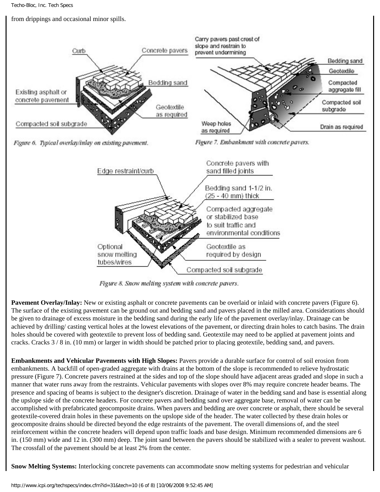from drippings and occasional minor spills.



Figure 8. Snow melting system with concrete pavers.

**Pavement Overlay/Inlay:** New or existing asphalt or concrete pavements can be overlaid or inlaid with concrete pavers (Figure 6). The surface of the existing pavement can be ground out and bedding sand and pavers placed in the milled area. Considerations should be given to drainage of excess moisture in the bedding sand during the early life of the pavement overlay/inlay. Drainage can be achieved by drilling/ casting vertical holes at the lowest elevations of the pavement, or directing drain holes to catch basins. The drain holes should be covered with geotextile to prevent loss of bedding sand. Geotextile may need to be applied at pavement joints and cracks. Cracks 3 / 8 in. (10 mm) or larger in width should be patched prior to placing geotextile, bedding sand, and pavers.

**Embankments and Vehicular Pavements with High Slopes:** Pavers provide a durable surface for control of soil erosion from embankments. A backfill of open-graded aggregate with drains at the bottom of the slope is recommended to relieve hydrostatic pressure (Figure 7). Concrete pavers restrained at the sides and top of the slope should have adjacent areas graded and slope in such a manner that water runs away from the restraints. Vehicular pavements with slopes over 8% may require concrete header beams. The presence and spacing of beams is subject to the designer's discretion. Drainage of water in the bedding sand and base is essential along the upslope side of the concrete headers. For concrete pavers and bedding sand over aggregate base, removal of water can be accomplished with prefabricated geocomposite drains. When pavers and bedding are over concrete or asphalt, there should be several geotextile-covered drain holes in these pavements on the upslope side of the header. The water collected by these drain holes or geocomposite drains should be directed beyond the edge restraints of the pavement. The overall dimensions of, and the steel reinforcement within the concrete headers will depend upon traffic loads and base design. Minimum recommended dimensions are 6 in. (150 mm) wide and 12 in. (300 mm) deep. The joint sand between the pavers should be stabilized with a sealer to prevent washout. The crossfall of the pavement should be at least 2% from the center.

**Snow Melting Systems:** Interlocking concrete pavements can accommodate snow melting systems for pedestrian and vehicular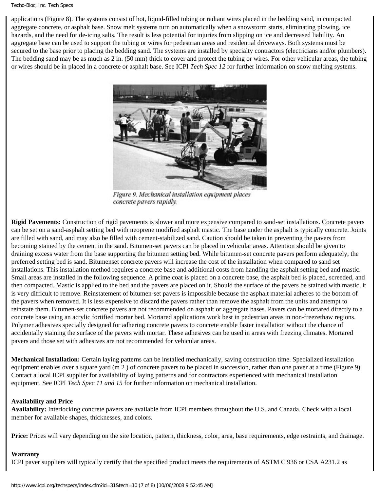#### Techo-Bloc, Inc. Tech Specs

applications (Figure 8). The systems consist of hot, liquid-filled tubing or radiant wires placed in the bedding sand, in compacted aggregate concrete, or asphalt base. Snow melt systems turn on automatically when a snowstorm starts, eliminating plowing, ice hazards, and the need for de-icing salts. The result is less potential for injuries from slipping on ice and decreased liability. An aggregate base can be used to support the tubing or wires for pedestrian areas and residential driveways. Both systems must be secured to the base prior to placing the bedding sand. The systems are installed by specialty contractors (electricians and/or plumbers). The bedding sand may be as much as 2 in. (50 mm) thick to cover and protect the tubing or wires. For other vehicular areas, the tubing or wires should be in placed in a concrete or asphalt base. See ICPI *Tech Spec 12* for further information on snow melting systems.



Figure 9. Mechanical installation equipment places concrete pavers rapidly.

**Rigid Pavements:** Construction of rigid pavements is slower and more expensive compared to sand-set installations. Concrete pavers can be set on a sand-asphalt setting bed with neoprene modified asphalt mastic. The base under the asphalt is typically concrete. Joints are filled with sand, and may also be filled with cement-stabilized sand. Caution should be taken in preventing the pavers from becoming stained by the cement in the sand. Bitumen-set pavers can be placed in vehicular areas. Attention should be given to draining excess water from the base supporting the bitumen setting bed. While bitumen-set concrete pavers perform adequately, the preferred setting bed is sand. Bitumenset concrete pavers will increase the cost of the installation when compared to sand set installations. This installation method requires a concrete base and additional costs from handling the asphalt setting bed and mastic. Small areas are installed in the following sequence. A prime coat is placed on a concrete base, the asphalt bed is placed, screeded, and then compacted. Mastic is applied to the bed and the pavers are placed on it. Should the surface of the pavers be stained with mastic, it is very difficult to remove. Reinstatement of bitumen-set pavers is impossible because the asphalt material adheres to the bottom of the pavers when removed. It is less expensive to discard the pavers rather than remove the asphalt from the units and attempt to reinstate them. Bitumen-set concrete pavers are not recommended on asphalt or aggregate bases. Pavers can be mortared directly to a concrete base using an acrylic fortified mortar bed. Mortared applications work best in pedestrian areas in non-freezethaw regions. Polymer adhesives specially designed for adhering concrete pavers to concrete enable faster installation without the chance of accidentally staining the surface of the pavers with mortar. These adhesives can be used in areas with freezing climates. Mortared pavers and those set with adhesives are not recommended for vehicular areas.

**Mechanical Installation:** Certain laying patterns can be installed mechanically, saving construction time. Specialized installation equipment enables over a square yard (m 2 ) of concrete pavers to be placed in succession, rather than one paver at a time (Figure 9). Contact a local ICPI supplier for availability of laying patterns and for contractors experienced with mechanical installation equipment. See ICPI *Tech Spec 11 and 15* for further information on mechanical installation.

## **Availability and Price**

**Availability:** Interlocking concrete pavers are available from ICPI members throughout the U.S. and Canada. Check with a local member for available shapes, thicknesses, and colors.

**Price:** Prices will vary depending on the site location, pattern, thickness, color, area, base requirements, edge restraints, and drainage.

# **Warranty**

ICPI paver suppliers will typically certify that the specified product meets the requirements of ASTM C 936 or CSA A231.2 as